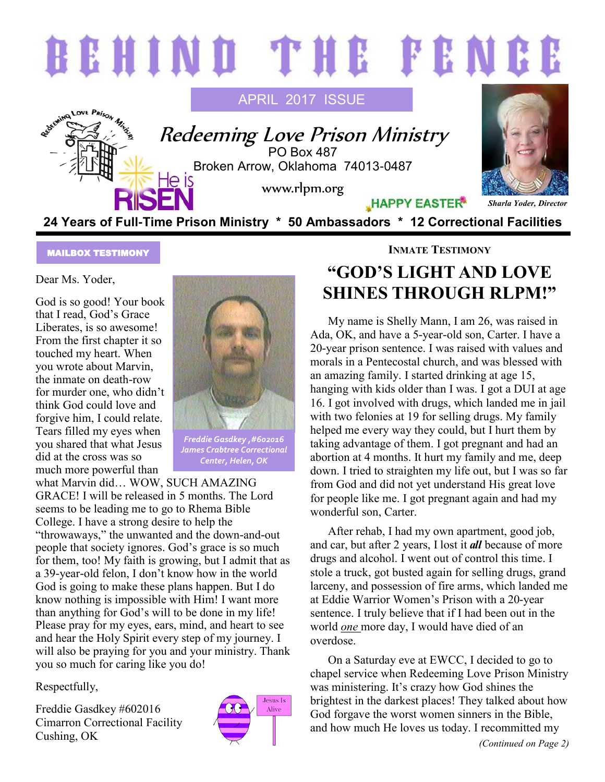

#### MAILBOX TESTIMONY

Dear Ms. Yoder,

God is so good! Your book that I read, God's Grace Liberates, is so awesome! From the first chapter it so touched my heart. When you wrote about Marvin, the inmate on death-row for murder one, who didn't think God could love and forgive him, I could relate. Tears filled my eyes when you shared that what Jesus did at the cross was so much more powerful than



*Freddie Gasdkey ,#602016 James Crabtree Correctional Center, Helen, OK*

what Marvin did… WOW, SUCH AMAZING GRACE! I will be released in 5 months. The Lord seems to be leading me to go to Rhema Bible College. I have a strong desire to help the "throwaways," the unwanted and the down-and-out people that society ignores. God's grace is so much for them, too! My faith is growing, but I admit that as a 39-year-old felon, I don't know how in the world God is going to make these plans happen. But I do know nothing is impossible with Him! I want more than anything for God's will to be done in my life! Please pray for my eyes, ears, mind, and heart to see and hear the Holy Spirit every step of my journey. I will also be praying for you and your ministry. Thank you so much for caring like you do!

Respectfully,

Freddie Gasdkey #602016 Cimarron Correctional Facility Cushing, OK



#### **INMATE TESTIMONY**

## **"GOD'S LIGHT AND LOVE SHINES THROUGH RLPM!"**

My name is Shelly Mann, I am 26, was raised in Ada, OK, and have a 5-year-old son, Carter. I have a 20-year prison sentence. I was raised with values and morals in a Pentecostal church, and was blessed with an amazing family. I started drinking at age 15, hanging with kids older than I was. I got a DUI at age 16. I got involved with drugs, which landed me in jail with two felonies at 19 for selling drugs. My family helped me every way they could, but I hurt them by taking advantage of them. I got pregnant and had an abortion at 4 months. It hurt my family and me, deep down. I tried to straighten my life out, but I was so far from God and did not yet understand His great love for people like me. I got pregnant again and had my wonderful son, Carter.

After rehab, I had my own apartment, good job, and car, but after 2 years, I lost it *all* because of more drugs and alcohol. I went out of control this time. I stole a truck, got busted again for selling drugs, grand larceny, and possession of fire arms, which landed me at Eddie Warrior Women's Prison with a 20-year sentence. I truly believe that if I had been out in the world *one* more day, I would have died of an overdose.

On a Saturday eve at EWCC, I decided to go to chapel service when Redeeming Love Prison Ministry was ministering. It's crazy how God shines the brightest in the darkest places! They talked about how God forgave the worst women sinners in the Bible, and how much He loves us today. I recommitted my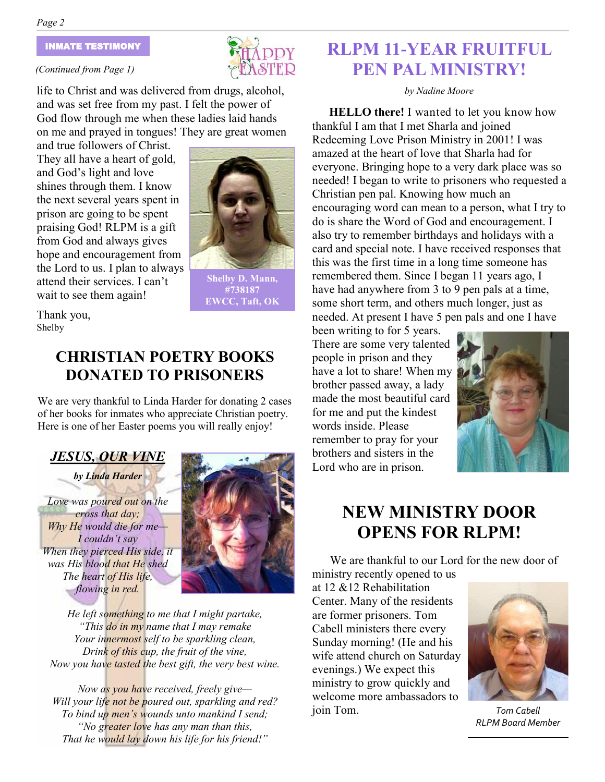#### INMATE TESTIMONY

#### *(Continued from Page 1)*

life to Christ and was delivered from drugs, alcohol, and was set free from my past. I felt the power of God flow through me when these ladies laid hands on me and prayed in tongues! They are great women

and true followers of Christ. They all have a heart of gold, and God's light and love shines through them. I know the next several years spent in prison are going to be spent praising God! RLPM is a gift from God and always gives hope and encouragement from the Lord to us. I plan to always attend their services. I can't wait to see them again!



**Shelby D. Mann, #738187 EWCC, Taft, OK**

Thank you, Shelby

### **CHRISTIAN POETRY BOOKS DONATED TO PRISONERS**

We are very thankful to Linda Harder for donating 2 cases of her books for inmates who appreciate Christian poetry. Here is one of her Easter poems you will really enjoy!

### *JESUS, OUR VINE by Linda Harder*

*Love was poured out on the cross that day; Why He would die for me— I couldn't say When they pierced His side, it was His blood that He shed The heart of His life, flowing in red.*



*He left something to me that I might partake, "This do in my name that I may remake Your innermost self to be sparkling clean, Drink of this cup, the fruit of the vine, Now you have tasted the best gift, the very best wine.*

*Now as you have received, freely give— Will your life not be poured out, sparkling and red? To bind up men's wounds unto mankind I send; "No greater love has any man than this, That he would lay down his life for his friend!"*

### **RLPM 11-YEAR FRUITFUL PEN PAL MINISTRY!**

*by Nadine Moore*

**HELLO there!** I wanted to let you know how thankful I am that I met Sharla and joined Redeeming Love Prison Ministry in 2001! I was amazed at the heart of love that Sharla had for everyone. Bringing hope to a very dark place was so needed! I began to write to prisoners who requested a Christian pen pal. Knowing how much an encouraging word can mean to a person, what I try to do is share the Word of God and encouragement. I also try to remember birthdays and holidays with a card and special note. I have received responses that this was the first time in a long time someone has remembered them. Since I began 11 years ago, I have had anywhere from 3 to 9 pen pals at a time, some short term, and others much longer, just as needed. At present I have 5 pen pals and one I have

been writing to for 5 years. There are some very talented people in prison and they have a lot to share! When my brother passed away, a lady made the most beautiful card for me and put the kindest words inside. Please remember to pray for your brothers and sisters in the Lord who are in prison.



### **NEW MINISTRY DOOR OPENS FOR RLPM!**

We are thankful to our Lord for the new door of ministry recently opened to us

at 12 &12 Rehabilitation Center. Many of the residents are former prisoners. Tom Cabell ministers there every Sunday morning! (He and his wife attend church on Saturday evenings.) We expect this ministry to grow quickly and welcome more ambassadors to join Tom. *Tom Cabell*



*RLPM Board Member*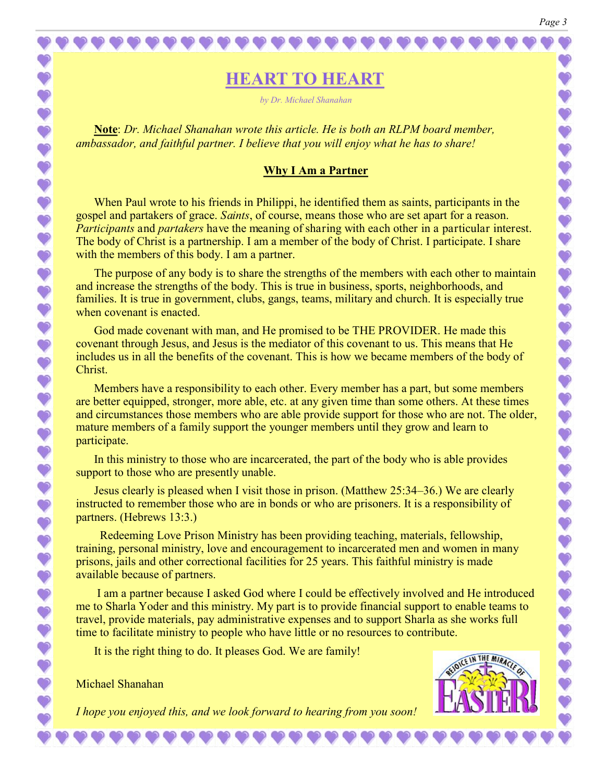**HEART TO HEART**

*by Dr. Michael Shanahan*

**Note**: *Dr. Michael Shanahan wrote this article. He is both an RLPM board member, ambassador, and faithful partner. I believe that you will enjoy what he has to share!*

#### **Why I Am a Partner**

When Paul wrote to his friends in Philippi, he identified them as saints, participants in the gospel and partakers of grace. *Saints*, of course, means those who are set apart for a reason. *Participants* and *partakers* have the meaning of sharing with each other in a particular interest. The body of Christ is a partnership. I am a member of the body of Christ. I participate. I share with the members of this body. I am a partner.

The purpose of any body is to share the strengths of the members with each other to maintain and increase the strengths of the body. This is true in business, sports, neighborhoods, and families. It is true in government, clubs, gangs, teams, military and church. It is especially true when covenant is enacted.

God made covenant with man, and He promised to be THE PROVIDER. He made this covenant through Jesus, and Jesus is the mediator of this covenant to us. This means that He includes us in all the benefits of the covenant. This is how we became members of the body of Christ.

Members have a responsibility to each other. Every member has a part, but some members are better equipped, stronger, more able, etc. at any given time than some others. At these times and circumstances those members who are able provide support for those who are not. The older, mature members of a family support the younger members until they grow and learn to participate.

In this ministry to those who are incarcerated, the part of the body who is able provides support to those who are presently unable.

Jesus clearly is pleased when I visit those in prison. (Matthew 25:34–36.) We are clearly instructed to remember those who are in bonds or who are prisoners. It is a responsibility of partners. (Hebrews 13:3.)

 Redeeming Love Prison Ministry has been providing teaching, materials, fellowship, training, personal ministry, love and encouragement to incarcerated men and women in many prisons, jails and other correctional facilities for 25 years. This faithful ministry is made available because of partners.

I am a partner because I asked God where I could be effectively involved and He introduced me to Sharla Yoder and this ministry. My part is to provide financial support to enable teams to travel, provide materials, pay administrative expenses and to support Sharla as she works full time to facilitate ministry to people who have little or no resources to contribute.

It is the right thing to do. It pleases God. We are family!

Michael Shanahan

 $\bullet$  $\bullet$ 

 $\bullet$  $\ddot{\bullet}$  $\ddot{\bullet}$  $\ddot{\textbf{v}}$  $\bullet$  $\ddot{\textbf{v}}$ 

 $\bullet$ 

 $\ddot{\bullet}$ 

1111

 $\bullet$  $\ddot{\textbf{v}}$  $\ddot{\bullet}$  $\bullet$  $\bullet$  $\bullet$  $\ddot{\bullet}$  $\ddot{\bullet}$  $\bullet$  $\bullet$  $\bullet$  $\ddot{\bullet}$  $\ddot{\bullet}$  $\ddot{\bullet}$  $\ddot{\textbf{v}}$ 

 $\bullet$  $\ddot{\textbf{v}}$  $\bullet$  $\bullet$ 

*I hope you enjoyed this, and we look forward to hearing from you soon!*